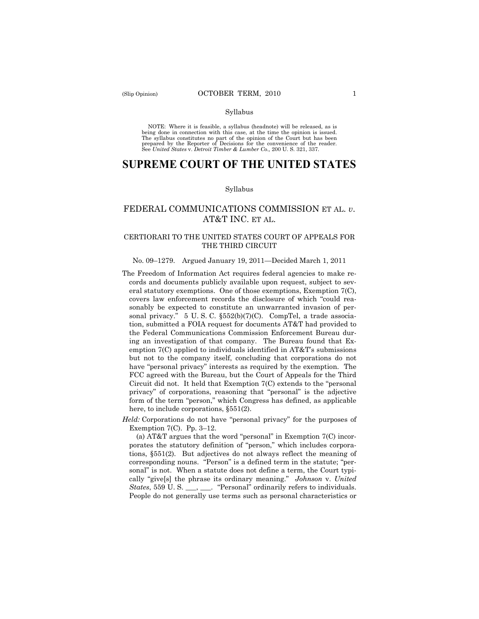#### Syllabus

NOTE: Where it is feasible, a syllabus (headnote) will be released, as is being done in connection with this case, at the time the opinion is issued. The syllabus constitutes no part of the opinion of the Court but has been<br>prepared by the Reporter of Decisions for the convenience of the reader.<br>See United States v. Detroit Timber & Lumber Co., 200 U. S. 321, 337.

# **SUPREME COURT OF THE UNITED STATES**

#### Syllabus

# FEDERAL COMMUNICATIONS COMMISSION ET AL. *v*. AT&T INC. ET AL.

### CERTIORARI TO THE UNITED STATES COURT OF APPEALS FOR THE THIRD CIRCUIT

### No. 09–1279. Argued January 19, 2011—Decided March 1, 2011

- The Freedom of Information Act requires federal agencies to make records and documents publicly available upon request, subject to several statutory exemptions. One of those exemptions, Exemption 7(C), covers law enforcement records the disclosure of which "could reasonably be expected to constitute an unwarranted invasion of personal privacy." 5 U.S.C.  $$552(b)(7)(C)$ . CompTel, a trade association, submitted a FOIA request for documents AT&T had provided to the Federal Communications Commission Enforcement Bureau during an investigation of that company. The Bureau found that Exemption 7(C) applied to individuals identified in AT&T's submissions but not to the company itself, concluding that corporations do not have "personal privacy" interests as required by the exemption. The FCC agreed with the Bureau, but the Court of Appeals for the Third Circuit did not. It held that Exemption 7(C) extends to the "personal privacy" of corporations, reasoning that "personal" is the adjective form of the term "person," which Congress has defined, as applicable here, to include corporations, §551(2).
- *Held:* Corporations do not have "personal privacy" for the purposes of Exemption 7(C). Pp.  $3-12$ .

(a) AT&T argues that the word "personal" in Exemption 7(C) incorporates the statutory definition of "person," which includes corporations, §551(2). But adjectives do not always reflect the meaning of corresponding nouns. "Person" is a defined term in the statute; "personal" is not. When a statute does not define a term, the Court typically "give[s] the phrase its ordinary meaning." *Johnson* v. *United States*, 559 U. S. \_\_\_, \_\_\_. "Personal" ordinarily refers to individuals. People do not generally use terms such as personal characteristics or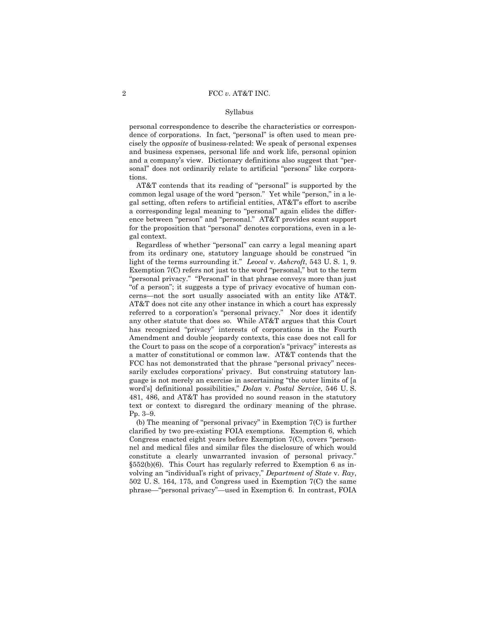#### Syllabus

personal correspondence to describe the characteristics or correspondence of corporations. In fact, "personal" is often used to mean precisely the *opposite* of business-related: We speak of personal expenses and business expenses, personal life and work life, personal opinion and a company's view. Dictionary definitions also suggest that "personal" does not ordinarily relate to artificial "persons" like corporations.

AT&T contends that its reading of "personal" is supported by the common legal usage of the word "person." Yet while "person," in a legal setting, often refers to artificial entities, AT&T's effort to ascribe a corresponding legal meaning to "personal" again elides the difference between "person" and "personal." AT&T provides scant support for the proposition that "personal" denotes corporations, even in a legal context.

Regardless of whether "personal" can carry a legal meaning apart from its ordinary one, statutory language should be construed "in light of the terms surrounding it." *Leocal* v. *Ashcroft*, 543 U. S. 1, 9. Exemption 7(C) refers not just to the word "personal," but to the term "personal privacy." "Personal" in that phrase conveys more than just "of a person"; it suggests a type of privacy evocative of human concerns—not the sort usually associated with an entity like AT&T. AT&T does not cite any other instance in which a court has expressly referred to a corporation's "personal privacy." Nor does it identify any other statute that does so. While AT&T argues that this Court has recognized "privacy" interests of corporations in the Fourth Amendment and double jeopardy contexts, this case does not call for the Court to pass on the scope of a corporation's "privacy" interests as a matter of constitutional or common law. AT&T contends that the FCC has not demonstrated that the phrase "personal privacy" necessarily excludes corporations' privacy. But construing statutory language is not merely an exercise in ascertaining "the outer limits of [a word's] definitional possibilities," *Dolan* v. *Postal Service*, 546 U. S. 481, 486, and AT&T has provided no sound reason in the statutory text or context to disregard the ordinary meaning of the phrase. Pp. 3–9.

(b) The meaning of "personal privacy" in Exemption 7(C) is further clarified by two pre-existing FOIA exemptions. Exemption 6, which Congress enacted eight years before Exemption 7(C), covers "personnel and medical files and similar files the disclosure of which would constitute a clearly unwarranted invasion of personal privacy." §552(b)(6). This Court has regularly referred to Exemption 6 as involving an "individual's right of privacy," *Department of State* v. *Ray*, 502 U. S. 164, 175, and Congress used in Exemption 7(C) the same phrase—"personal privacy"—used in Exemption 6. In contrast, FOIA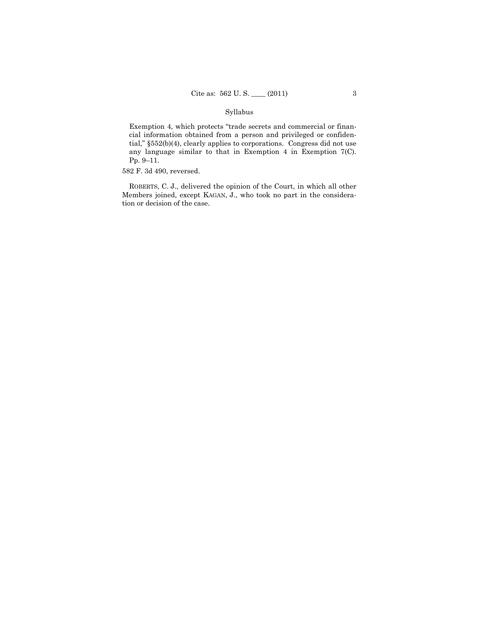### Syllabus

Exemption 4, which protects "trade secrets and commercial or financial information obtained from a person and privileged or confidential," §552(b)(4), clearly applies to corporations. Congress did not use any language similar to that in Exemption 4 in Exemption 7(C). Pp. 9–11.

582 F. 3d 490, reversed.

ROBERTS, C. J., delivered the opinion of the Court, in which all other Members joined, except KAGAN, J., who took no part in the consideration or decision of the case.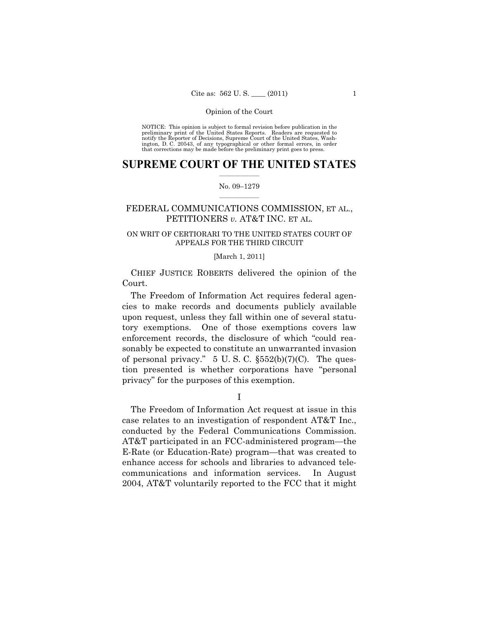NOTICE: This opinion is subject to formal revision before publication in the preliminary print of the United States Reports. Readers are requested to notify the Reporter of Decisions, Supreme Court of the United States, Washington, D. C. 20543, of any typographical or other formal errors, in order that corrections may be made before the preliminary print goes to press.

### $\frac{1}{2}$  , where  $\frac{1}{2}$ **SUPREME COURT OF THE UNITED STATES**

### $\frac{1}{2}$  ,  $\frac{1}{2}$  ,  $\frac{1}{2}$  ,  $\frac{1}{2}$  ,  $\frac{1}{2}$  ,  $\frac{1}{2}$ No. 09–1279

### FEDERAL COMMUNICATIONS COMMISSION, ET AL., PETITIONERS *v.* AT&T INC. ET AL.

### ON WRIT OF CERTIORARI TO THE UNITED STATES COURT OF APPEALS FOR THE THIRD CIRCUIT

### [March 1, 2011]

 CHIEF JUSTICE ROBERTS delivered the opinion of the Court.

The Freedom of Information Act requires federal agencies to make records and documents publicly available upon request, unless they fall within one of several statutory exemptions. One of those exemptions covers law enforcement records, the disclosure of which "could reasonably be expected to constitute an unwarranted invasion of personal privacy."  $5 \text{ U. S. C. } \S 552(b)(7)(C)$ . The question presented is whether corporations have "personal privacy" for the purposes of this exemption.

I

The Freedom of Information Act request at issue in this case relates to an investigation of respondent AT&T Inc., conducted by the Federal Communications Commission. AT&T participated in an FCC-administered program—the E-Rate (or Education-Rate) program—that was created to enhance access for schools and libraries to advanced telecommunications and information services. In August 2004, AT&T voluntarily reported to the FCC that it might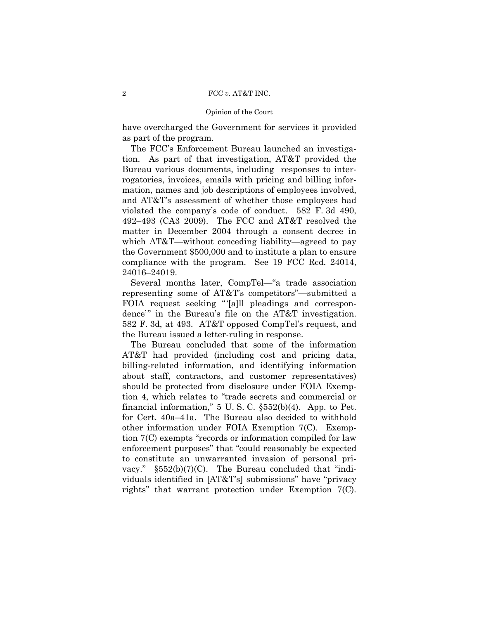have overcharged the Government for services it provided as part of the program.

The FCC's Enforcement Bureau launched an investigation. As part of that investigation, AT&T provided the Bureau various documents, including responses to interrogatories, invoices, emails with pricing and billing information, names and job descriptions of employees involved, and AT&T's assessment of whether those employees had violated the company's code of conduct. 582 F. 3d 490, 492–493 (CA3 2009). The FCC and AT&T resolved the matter in December 2004 through a consent decree in which AT&T—without conceding liability—agreed to pay the Government \$500,000 and to institute a plan to ensure compliance with the program. See 19 FCC Rcd. 24014, 24016–24019.

Several months later, CompTel—"a trade association representing some of AT&T's competitors"—submitted a FOIA request seeking "'[a]ll pleadings and correspondence'" in the Bureau's file on the AT&T investigation. 582 F. 3d, at 493. AT&T opposed CompTel's request, and the Bureau issued a letter-ruling in response.

The Bureau concluded that some of the information AT&T had provided (including cost and pricing data, billing-related information, and identifying information about staff, contractors, and customer representatives) should be protected from disclosure under FOIA Exemption 4, which relates to "trade secrets and commercial or financial information,"  $5 \text{ U. S. C. }$   $\S552(b)(4)$ . App. to Pet. for Cert. 40a–41a. The Bureau also decided to withhold other information under FOIA Exemption 7(C). Exemption 7(C) exempts "records or information compiled for law enforcement purposes" that "could reasonably be expected to constitute an unwarranted invasion of personal privacy." §552(b)(7)(C). The Bureau concluded that "individuals identified in [AT&T's] submissions" have "privacy rights" that warrant protection under Exemption 7(C).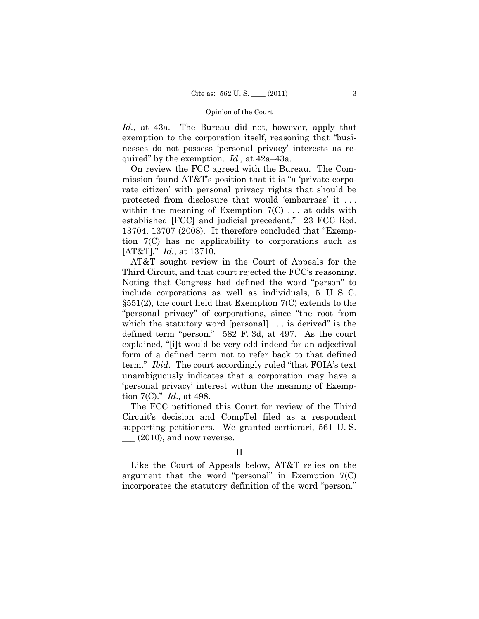*Id.*, at 43a. The Bureau did not, however, apply that exemption to the corporation itself, reasoning that "businesses do not possess 'personal privacy' interests as required" by the exemption. *Id.,* at 42a–43a.

On review the FCC agreed with the Bureau. The Commission found AT&T's position that it is "a 'private corporate citizen' with personal privacy rights that should be protected from disclosure that would 'embarrass' it . . . within the meaning of Exemption  $7(C)$ ... at odds with established [FCC] and judicial precedent." 23 FCC Rcd. 13704, 13707 (2008). It therefore concluded that "Exemption 7(C) has no applicability to corporations such as [AT&T]." *Id.,* at 13710.

AT&T sought review in the Court of Appeals for the Third Circuit, and that court rejected the FCC's reasoning. Noting that Congress had defined the word "person" to include corporations as well as individuals, 5 U. S. C.  $\S551(2)$ , the court held that Exemption 7(C) extends to the "personal privacy" of corporations, since "the root from which the statutory word [personal] ... is derived" is the defined term "person." 582 F. 3d, at 497. As the court explained, "[i]t would be very odd indeed for an adjectival form of a defined term not to refer back to that defined term." *Ibid.* The court accordingly ruled "that FOIA's text unambiguously indicates that a corporation may have a 'personal privacy' interest within the meaning of Exemption 7(C)." *Id.,* at 498.

The FCC petitioned this Court for review of the Third Circuit's decision and CompTel filed as a respondent supporting petitioners. We granted certiorari, 561 U. S. \_\_\_ (2010), and now reverse.

Like the Court of Appeals below, AT&T relies on the argument that the word "personal" in Exemption 7(C) incorporates the statutory definition of the word "person."

II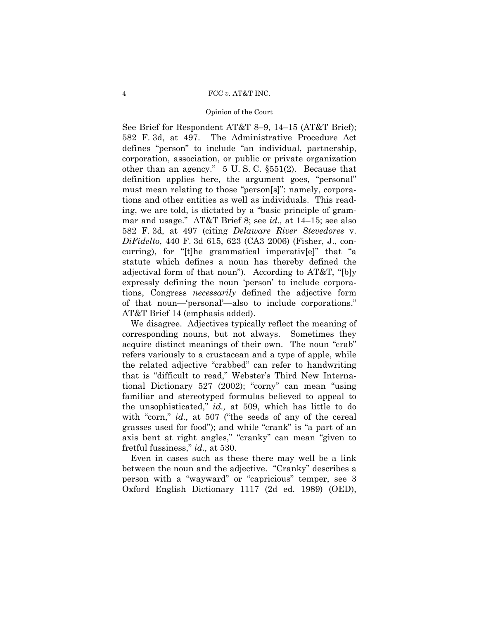### Opinion of the Court

See Brief for Respondent AT&T 8–9, 14–15 (AT&T Brief); 582 F. 3d, at 497. The Administrative Procedure Act defines "person" to include "an individual, partnership, corporation, association, or public or private organization other than an agency." 5 U. S. C. §551(2). Because that definition applies here, the argument goes, "personal" must mean relating to those "person[s]": namely, corporations and other entities as well as individuals. This reading, we are told, is dictated by a "basic principle of grammar and usage." AT&T Brief 8; see *id.,* at 14–15; see also 582 F. 3d, at 497 (citing *Delaware River Stevedores* v. *DiFidelto*, 440 F. 3d 615, 623 (CA3 2006) (Fisher, J., concurring), for "[t]he grammatical imperativ[e]" that "a statute which defines a noun has thereby defined the adjectival form of that noun"). According to AT&T, "[b]y expressly defining the noun 'person' to include corporations, Congress *necessarily* defined the adjective form of that noun—'personal'—also to include corporations." AT&T Brief 14 (emphasis added).

We disagree. Adjectives typically reflect the meaning of corresponding nouns, but not always. Sometimes they acquire distinct meanings of their own. The noun "crab" refers variously to a crustacean and a type of apple, while the related adjective "crabbed" can refer to handwriting that is "difficult to read," Webster's Third New International Dictionary 527 (2002); "corny" can mean "using familiar and stereotyped formulas believed to appeal to the unsophisticated," *id.,* at 509, which has little to do with "corn," *id.,* at 507 ("the seeds of any of the cereal grasses used for food"); and while "crank" is "a part of an axis bent at right angles," "cranky" can mean "given to fretful fussiness," *id.,* at 530.

Even in cases such as these there may well be a link between the noun and the adjective. "Cranky" describes a person with a "wayward" or "capricious" temper, see 3 Oxford English Dictionary 1117 (2d ed. 1989) (OED),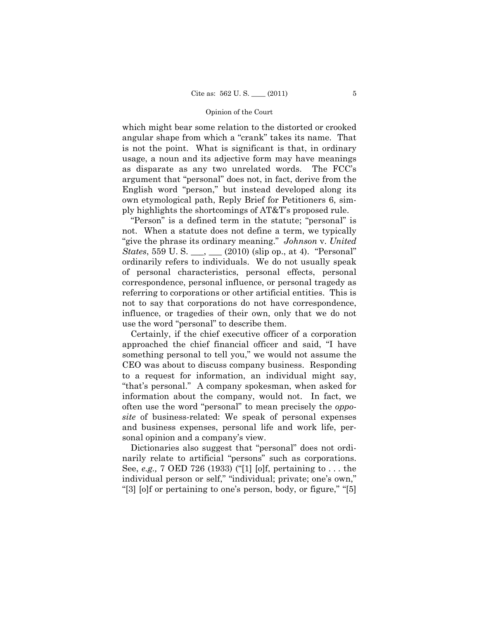which might bear some relation to the distorted or crooked angular shape from which a "crank" takes its name. That is not the point. What is significant is that, in ordinary usage, a noun and its adjective form may have meanings as disparate as any two unrelated words. The FCC's argument that "personal" does not, in fact, derive from the English word "person," but instead developed along its own etymological path, Reply Brief for Petitioners 6, simply highlights the shortcomings of AT&T's proposed rule.

"Person" is a defined term in the statute; "personal" is not. When a statute does not define a term, we typically "give the phrase its ordinary meaning." *Johnson* v. *United States*, 559 U. S. \_\_\_, \_\_\_ (2010) (slip op., at 4). "Personal" ordinarily refers to individuals. We do not usually speak of personal characteristics, personal effects, personal correspondence, personal influence, or personal tragedy as referring to corporations or other artificial entities. This is not to say that corporations do not have correspondence, influence, or tragedies of their own, only that we do not use the word "personal" to describe them.

Certainly, if the chief executive officer of a corporation approached the chief financial officer and said, "I have something personal to tell you," we would not assume the CEO was about to discuss company business. Responding to a request for information, an individual might say, "that's personal." A company spokesman, when asked for information about the company, would not. In fact, we often use the word "personal" to mean precisely the *opposite* of business-related: We speak of personal expenses and business expenses, personal life and work life, personal opinion and a company's view.

Dictionaries also suggest that "personal" does not ordinarily relate to artificial "persons" such as corporations. See, *e.g.,* 7 OED 726 (1933) ("[1] [o]f, pertaining to . . . the individual person or self," "individual; private; one's own," "[3] [o]f or pertaining to one's person, body, or figure," "[5]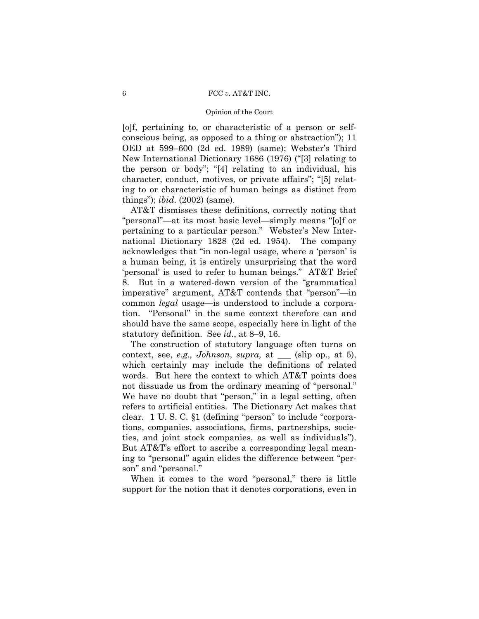### Opinion of the Court

[o]f, pertaining to, or characteristic of a person or selfconscious being, as opposed to a thing or abstraction"); 11 OED at 599–600 (2d ed. 1989) (same); Webster's Third New International Dictionary 1686 (1976) ("[3] relating to the person or body"; "[4] relating to an individual, his character, conduct, motives, or private affairs"; "[5] relating to or characteristic of human beings as distinct from things"); *ibid*. (2002) (same).

 AT&T dismisses these definitions, correctly noting that "personal"—at its most basic level—simply means "[o]f or pertaining to a particular person." Webster's New International Dictionary 1828 (2d ed. 1954). The company acknowledges that "in non-legal usage, where a 'person' is a human being, it is entirely unsurprising that the word 'personal' is used to refer to human beings." AT&T Brief 8. But in a watered-down version of the "grammatical imperative" argument, AT&T contends that "person"—in common *legal* usage—is understood to include a corporation. "Personal" in the same context therefore can and should have the same scope, especially here in light of the statutory definition. See *id*., at 8–9, 16.

The construction of statutory language often turns on context, see, *e.g., Johnson*, *supra,* at \_\_\_ (slip op., at 5), which certainly may include the definitions of related words. But here the context to which AT&T points does not dissuade us from the ordinary meaning of "personal." We have no doubt that "person," in a legal setting, often refers to artificial entities. The Dictionary Act makes that clear. 1 U. S. C. §1 (defining "person" to include "corporations, companies, associations, firms, partnerships, societies, and joint stock companies, as well as individuals"). But AT&T's effort to ascribe a corresponding legal meaning to "personal" again elides the difference between "person" and "personal."

When it comes to the word "personal," there is little support for the notion that it denotes corporations, even in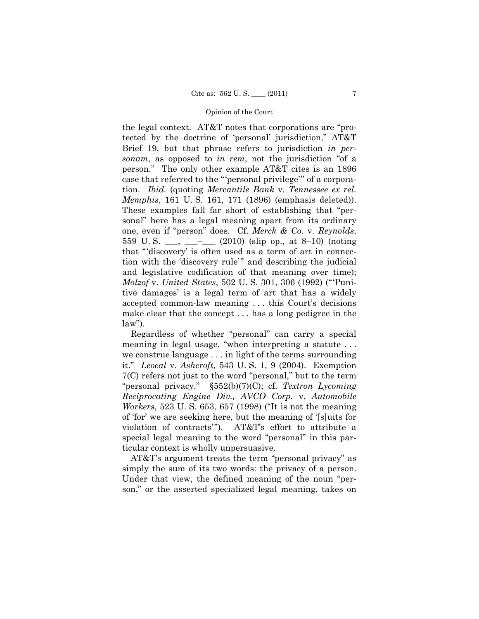the legal context. AT&T notes that corporations are "protected by the doctrine of 'personal' jurisdiction," AT&T Brief 19, but that phrase refers to jurisdiction *in personam*, as opposed to *in rem*, not the jurisdiction "of a person." The only other example AT&T cites is an 1896 case that referred to the "'personal privilege'" of a corporation. *Ibid.* (quoting *Mercantile Bank* v. *Tennessee ex rel. Memphis*, 161 U. S. 161, 171 (1896) (emphasis deleted)). These examples fall far short of establishing that "personal" here has a legal meaning apart from its ordinary one, even if "person" does. Cf. *Merck & Co.* v. *Reynolds*, 559 U.S.  $\_\_\_\_\_\_\_\_\_\_$  (2010) (slip op., at 8–10) (noting that "'discovery' is often used as a term of art in connection with the 'discovery rule'" and describing the judicial and legislative codification of that meaning over time); *Molzof* v. *United States*, 502 U. S. 301, 306 (1992) ("'Punitive damages' is a legal term of art that has a widely accepted common-law meaning . . . this Court's decisions make clear that the concept . . . has a long pedigree in the  $law$ ").

Regardless of whether "personal" can carry a special meaning in legal usage, "when interpreting a statute . . . we construe language . . . in light of the terms surrounding it." *Leocal* v. *Ashcroft*, 543 U. S. 1, 9 (2004). Exemption 7(C) refers not just to the word "personal," but to the term "personal privacy." §552(b)(7)(C); cf. *Textron Lycoming Reciprocating Engine Div., AVCO Corp.* v. *Automobile Workers*, 523 U. S. 653, 657 (1998) ("It is not the meaning of 'for' we are seeking here, but the meaning of '[s]uits for violation of contracts'"). AT&T's effort to attribute a special legal meaning to the word "personal" in this particular context is wholly unpersuasive.

AT&T's argument treats the term "personal privacy" as simply the sum of its two words: the privacy of a person. Under that view, the defined meaning of the noun "person," or the asserted specialized legal meaning, takes on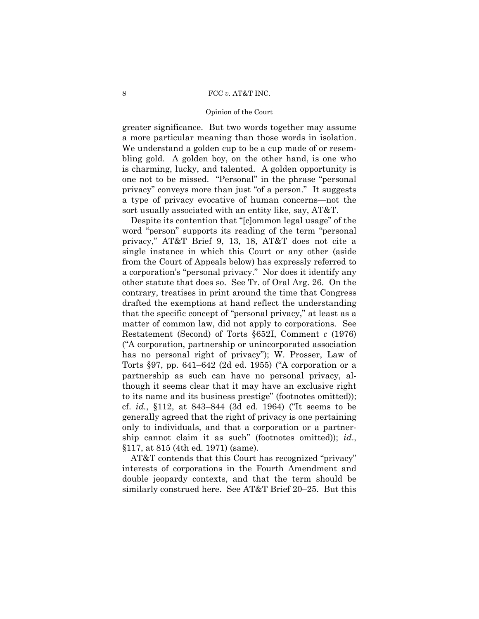### Opinion of the Court

greater significance. But two words together may assume a more particular meaning than those words in isolation. We understand a golden cup to be a cup made of or resembling gold. A golden boy, on the other hand, is one who is charming, lucky, and talented. A golden opportunity is one not to be missed. "Personal" in the phrase "personal privacy" conveys more than just "of a person." It suggests a type of privacy evocative of human concerns—not the sort usually associated with an entity like, say, AT&T.

Despite its contention that "[c]ommon legal usage" of the word "person" supports its reading of the term "personal privacy," AT&T Brief 9, 13, 18, AT&T does not cite a single instance in which this Court or any other (aside from the Court of Appeals below) has expressly referred to a corporation's "personal privacy." Nor does it identify any other statute that does so. See Tr. of Oral Arg. 26. On the contrary, treatises in print around the time that Congress drafted the exemptions at hand reflect the understanding that the specific concept of "personal privacy," at least as a matter of common law, did not apply to corporations. See Restatement (Second) of Torts §652I, Comment *c* (1976) ("A corporation, partnership or unincorporated association has no personal right of privacy"); W. Prosser, Law of Torts §97, pp. 641–642 (2d ed. 1955) ("A corporation or a partnership as such can have no personal privacy, although it seems clear that it may have an exclusive right to its name and its business prestige" (footnotes omitted)); cf. *id.*, §112, at 843–844 (3d ed. 1964) ("It seems to be generally agreed that the right of privacy is one pertaining only to individuals, and that a corporation or a partnership cannot claim it as such" (footnotes omitted)); *id*., §117, at 815 (4th ed. 1971) (same).

AT&T contends that this Court has recognized "privacy" interests of corporations in the Fourth Amendment and double jeopardy contexts, and that the term should be similarly construed here. See AT&T Brief 20–25. But this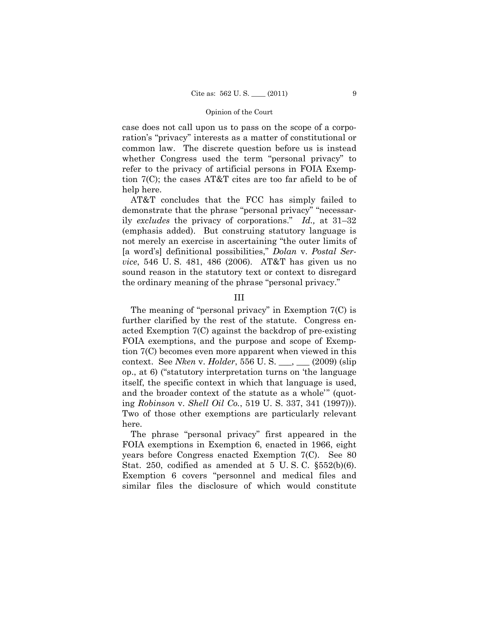case does not call upon us to pass on the scope of a corporation's "privacy" interests as a matter of constitutional or common law. The discrete question before us is instead whether Congress used the term "personal privacy" to refer to the privacy of artificial persons in FOIA Exemption 7(C); the cases AT&T cites are too far afield to be of help here.

AT&T concludes that the FCC has simply failed to demonstrate that the phrase "personal privacy" "necessarily *excludes* the privacy of corporations." *Id.,* at 31–32 (emphasis added). But construing statutory language is not merely an exercise in ascertaining "the outer limits of [a word's] definitional possibilities," *Dolan* v. *Postal Service*, 546 U. S. 481, 486 (2006). AT&T has given us no sound reason in the statutory text or context to disregard the ordinary meaning of the phrase "personal privacy."

# III

The meaning of "personal privacy" in Exemption 7(C) is further clarified by the rest of the statute. Congress enacted Exemption 7(C) against the backdrop of pre-existing FOIA exemptions, and the purpose and scope of Exemption 7(C) becomes even more apparent when viewed in this context. See *Nken* v. *Holder*, 556 U. S. \_\_\_, \_\_\_ (2009) (slip op., at 6) ("statutory interpretation turns on 'the language itself, the specific context in which that language is used, and the broader context of the statute as a whole'" (quoting *Robinson* v. *Shell Oil Co.*, 519 U. S. 337, 341 (1997))). Two of those other exemptions are particularly relevant here.

The phrase "personal privacy" first appeared in the FOIA exemptions in Exemption 6, enacted in 1966, eight years before Congress enacted Exemption 7(C). See 80 Stat. 250, codified as amended at 5 U. S. C. §552(b)(6). Exemption 6 covers "personnel and medical files and similar files the disclosure of which would constitute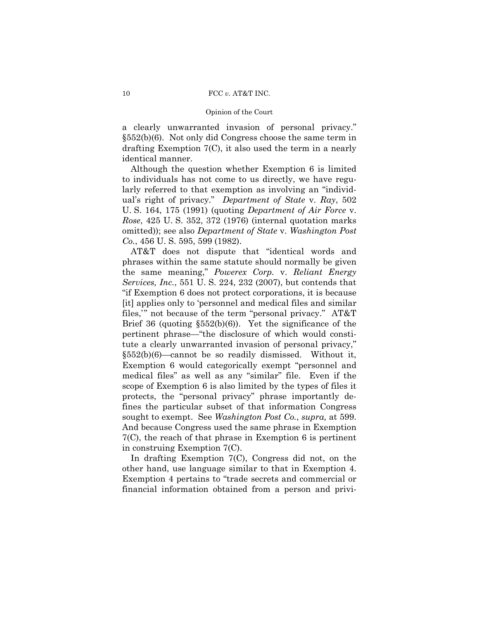### Opinion of the Court

a clearly unwarranted invasion of personal privacy." §552(b)(6). Not only did Congress choose the same term in drafting Exemption 7(C), it also used the term in a nearly identical manner.

Although the question whether Exemption 6 is limited to individuals has not come to us directly, we have regularly referred to that exemption as involving an "individual's right of privacy." *Department of State* v. *Ray*, 502 U. S. 164, 175 (1991) (quoting *Department of Air Force* v. *Rose*, 425 U. S. 352, 372 (1976) (internal quotation marks omitted)); see also *Department of State* v. *Washington Post Co.*, 456 U. S. 595, 599 (1982).

AT&T does not dispute that "identical words and phrases within the same statute should normally be given the same meaning," *Powerex Corp.* v. *Reliant Energy Services, Inc.*, 551 U. S. 224, 232 (2007), but contends that "if Exemption 6 does not protect corporations, it is because [it] applies only to 'personnel and medical files and similar files,'" not because of the term "personal privacy." AT&T Brief 36 (quoting  $\S552(b)(6)$ ). Yet the significance of the pertinent phrase—"the disclosure of which would constitute a clearly unwarranted invasion of personal privacy," §552(b)(6)—cannot be so readily dismissed. Without it, Exemption 6 would categorically exempt "personnel and medical files" as well as any "similar" file. Even if the scope of Exemption 6 is also limited by the types of files it protects, the "personal privacy" phrase importantly defines the particular subset of that information Congress sought to exempt. See *Washington Post Co.*, *supra,* at 599. And because Congress used the same phrase in Exemption 7(C), the reach of that phrase in Exemption 6 is pertinent in construing Exemption 7(C).

In drafting Exemption 7(C), Congress did not, on the other hand, use language similar to that in Exemption 4. Exemption 4 pertains to "trade secrets and commercial or financial information obtained from a person and privi-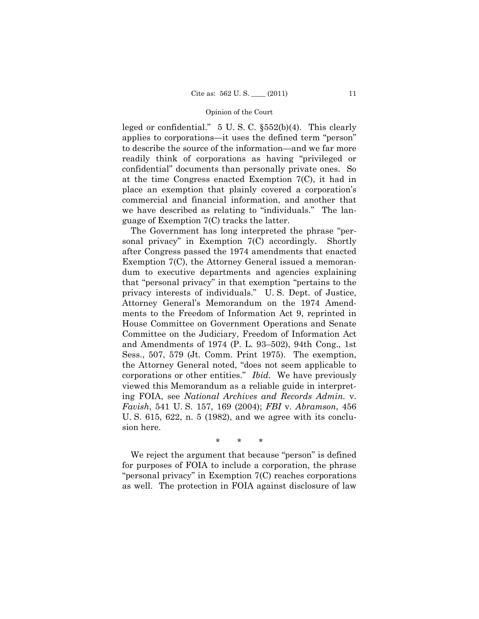leged or confidential."  $5 \text{ U. S. C. }$   $\S552(b)(4)$ . This clearly applies to corporations—it uses the defined term "person" to describe the source of the information—and we far more readily think of corporations as having "privileged or confidential" documents than personally private ones. So at the time Congress enacted Exemption 7(C), it had in place an exemption that plainly covered a corporation's commercial and financial information, and another that we have described as relating to "individuals." The language of Exemption 7(C) tracks the latter.

The Government has long interpreted the phrase "personal privacy" in Exemption 7(C) accordingly. Shortly after Congress passed the 1974 amendments that enacted Exemption 7(C), the Attorney General issued a memorandum to executive departments and agencies explaining that "personal privacy" in that exemption "pertains to the privacy interests of individuals." U. S. Dept. of Justice, Attorney General's Memorandum on the 1974 Amendments to the Freedom of Information Act 9, reprinted in House Committee on Government Operations and Senate Committee on the Judiciary, Freedom of Information Act and Amendments of 1974 (P. L. 93–502), 94th Cong., 1st Sess., 507, 579 (Jt. Comm. Print 1975). The exemption, the Attorney General noted, "does not seem applicable to corporations or other entities." *Ibid*. We have previously viewed this Memorandum as a reliable guide in interpreting FOIA, see *National Archives and Records Admin.* v. *Favish*, 541 U. S. 157, 169 (2004); *FBI* v. *Abramson*, 456 U. S. 615, 622, n. 5 (1982), and we agree with its conclusion here.

\* \* \*

We reject the argument that because "person" is defined for purposes of FOIA to include a corporation, the phrase "personal privacy" in Exemption 7(C) reaches corporations as well. The protection in FOIA against disclosure of law